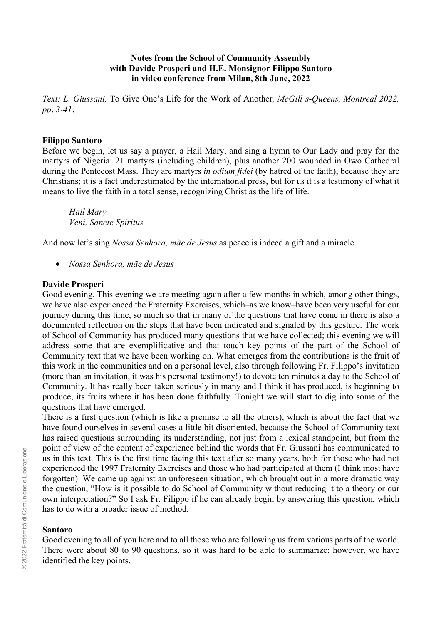# **Notes from the School of Community Assembly with Davide Prosperi and H.E. Monsignor Filippo Santoro in video conference from Milan, 8th June, 2022**

*Text: L. Giussani,* To Give One's Life for the Work of Another*, McGill's-Queens, Montreal 2022, pp. 3˗41.*

## **Filippo Santoro**

Before we begin, let us say a prayer, a Hail Mary, and sing a hymn to Our Lady and pray for the martyrs of Nigeria: 21 martyrs (including children), plus another 200 wounded in Owo Cathedral during the Pentecost Mass. They are martyrs *in odium fidei* (by hatred of the faith), because they are Christians; it is a fact underestimated by the international press, but for us it is a testimony of what it means to live the faith in a total sense, recognizing Christ as the life of life.

*Hail Mary Veni, Sancte Spiritus* 

And now let's sing *Nossa Senhora, mãe de Jesus* as peace is indeed a gift and a miracle.

• *Nossa Senhora, mãe de Jesus*

### **Davide Prosperi**

Good evening. This evening we are meeting again after a few months in which, among other things, we have also experienced the Fraternity Exercises, which–as we know–have been very useful for our journey during this time, so much so that in many of the questions that have come in there is also a documented reflection on the steps that have been indicated and signaled by this gesture. The work of School of Community has produced many questions that we have collected; this evening we will address some that are exemplificative and that touch key points of the part of the School of Community text that we have been working on. What emerges from the contributions is the fruit of this work in the communities and on a personal level, also through following Fr. Filippo's invitation (more than an invitation, it was his personal testimony!) to devote ten minutes a day to the School of Community. It has really been taken seriously in many and I think it has produced, is beginning to produce, its fruits where it has been done faithfully. Tonight we will start to dig into some of the questions that have emerged.

There is a first question (which is like a premise to all the others), which is about the fact that we have found ourselves in several cases a little bit disoriented, because the School of Community text has raised questions surrounding its understanding, not just from a lexical standpoint, but from the point of view of the content of experience behind the words that Fr. Giussani has communicated to us in this text. This is the first time facing this text after so many years, both for those who had not experienced the 1997 Fraternity Exercises and those who had participated at them (I think most have forgotten). We came up against an unforeseen situation, which brought out in a more dramatic way the question, "How is it possible to do School of Community without reducing it to a theory or our own interpretation?" So I ask Fr. Filippo if he can already begin by answering this question, which has to do with a broader issue of method.

## **Santoro**

Good evening to all of you here and to all those who are following us from various parts of the world. There were about 80 to 90 questions, so it was hard to be able to summarize; however, we have identified the key points.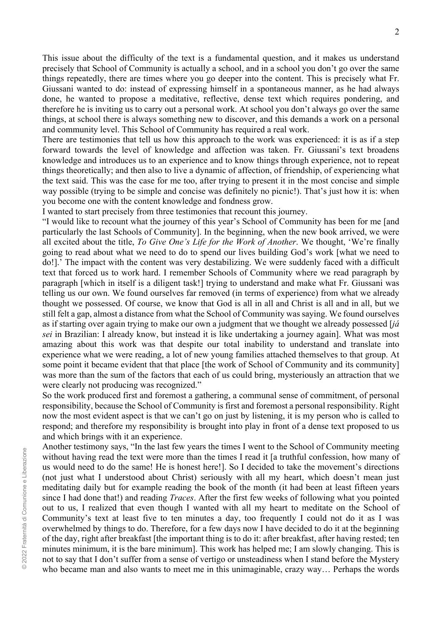This issue about the difficulty of the text is a fundamental question, and it makes us understand precisely that School of Community is actually a school, and in a school you don't go over the same things repeatedly, there are times where you go deeper into the content. This is precisely what Fr. Giussani wanted to do: instead of expressing himself in a spontaneous manner, as he had always done, he wanted to propose a meditative, reflective, dense text which requires pondering, and therefore he is inviting us to carry out a personal work. At school you don't always go over the same things, at school there is always something new to discover, and this demands a work on a personal and community level. This School of Community has required a real work.

There are testimonies that tell us how this approach to the work was experienced: it is as if a step forward towards the level of knowledge and affection was taken. Fr. Giussani's text broadens knowledge and introduces us to an experience and to know things through experience, not to repeat things theoretically; and then also to live a dynamic of affection, of friendship, of experiencing what the text said. This was the case for me too, after trying to present it in the most concise and simple way possible (trying to be simple and concise was definitely no picnic!). That's just how it is: when you become one with the content knowledge and fondness grow.

I wanted to start precisely from three testimonies that recount this journey.

"I would like to recount what the journey of this year's School of Community has been for me [and particularly the last Schools of Community]. In the beginning, when the new book arrived, we were all excited about the title, *To Give One's Life for the Work of Another*. We thought, 'We're finally going to read about what we need to do to spend our lives building God's work [what we need to do!].' The impact with the content was very destabilizing. We were suddenly faced with a difficult text that forced us to work hard. I remember Schools of Community where we read paragraph by paragraph [which in itself is a diligent task!] trying to understand and make what Fr. Giussani was telling us our own. We found ourselves far removed (in terms of experience) from what we already thought we possessed. Of course, we know that God is all in all and Christ is all and in all, but we still felt a gap, almost a distance from what the School of Community was saying. We found ourselves as if starting over again trying to make our own a judgment that we thought we already possessed [*já sei* in Brazilian: I already know, but instead it is like undertaking a journey again]. What was most amazing about this work was that despite our total inability to understand and translate into experience what we were reading, a lot of new young families attached themselves to that group. At some point it became evident that that place [the work of School of Community and its community] was more than the sum of the factors that each of us could bring, mysteriously an attraction that we were clearly not producing was recognized."

So the work produced first and foremost a gathering, a communal sense of commitment, of personal responsibility, because the School of Community is first and foremost a personal responsibility. Right now the most evident aspect is that we can't go on just by listening, it is my person who is called to respond; and therefore my responsibility is brought into play in front of a dense text proposed to us and which brings with it an experience.

Another testimony says, "In the last few years the times I went to the School of Community meeting without having read the text were more than the times I read it [a truthful confession, how many of us would need to do the same! He is honest here!]. So I decided to take the movement's directions (not just what I understood about Christ) seriously with all my heart, which doesn't mean just meditating daily but for example reading the book of the month (it had been at least fifteen years since I had done that!) and reading *Traces*. After the first few weeks of following what you pointed out to us, I realized that even though I wanted with all my heart to meditate on the School of Community's text at least five to ten minutes a day, too frequently I could not do it as I was overwhelmed by things to do. Therefore, for a few days now I have decided to do it at the beginning of the day, right after breakfast [the important thing is to do it: after breakfast, after having rested; ten minutes minimum, it is the bare minimum]. This work has helped me; I am slowly changing. This is not to say that I don't suffer from a sense of vertigo or unsteadiness when I stand before the Mystery who became man and also wants to meet me in this unimaginable, crazy way… Perhaps the words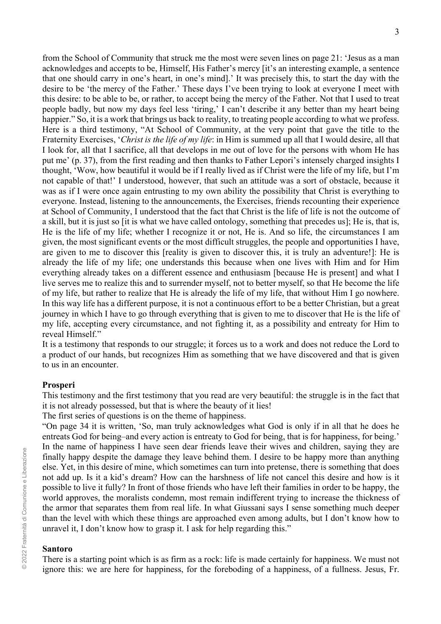from the School of Community that struck me the most were seven lines on page 21: 'Jesus as a man acknowledges and accepts to be, Himself, His Father's mercy [it's an interesting example, a sentence that one should carry in one's heart, in one's mind].' It was precisely this, to start the day with the desire to be 'the mercy of the Father.' These days I've been trying to look at everyone I meet with this desire: to be able to be, or rather, to accept being the mercy of the Father. Not that I used to treat people badly, but now my days feel less 'tiring,' I can't describe it any better than my heart being happier." So, it is a work that brings us back to reality, to treating people according to what we profess. Here is a third testimony, "At School of Community, at the very point that gave the title to the Fraternity Exercises, '*Christ is the life of my life*: in Him is summed up all that I would desire, all that I look for, all that I sacrifice, all that develops in me out of love for the persons with whom He has put me' (p. 37), from the first reading and then thanks to Father Lepori's intensely charged insights I thought, 'Wow, how beautiful it would be if I really lived as if Christ were the life of my life, but I'm not capable of that!' I understood, however, that such an attitude was a sort of obstacle, because it was as if I were once again entrusting to my own ability the possibility that Christ is everything to everyone. Instead, listening to the announcements, the Exercises, friends recounting their experience at School of Community, I understood that the fact that Christ is the life of life is not the outcome of a skill, but it is just so [it is what we have called ontology, something that precedes us]; He is, that is, He is the life of my life; whether I recognize it or not, He is. And so life, the circumstances I am given, the most significant events or the most difficult struggles, the people and opportunities I have, are given to me to discover this [reality is given to discover this, it is truly an adventure!]: He is already the life of my life; one understands this because when one lives with Him and for Him everything already takes on a different essence and enthusiasm [because He is present] and what I live serves me to realize this and to surrender myself, not to better myself, so that He become the life of my life, but rather to realize that He is already the life of my life, that without Him I go nowhere. In this way life has a different purpose, it is not a continuous effort to be a better Christian, but a great journey in which I have to go through everything that is given to me to discover that He is the life of my life, accepting every circumstance, and not fighting it, as a possibility and entreaty for Him to reveal Himself."

It is a testimony that responds to our struggle; it forces us to a work and does not reduce the Lord to a product of our hands, but recognizes Him as something that we have discovered and that is given to us in an encounter.

### **Prosperi**

This testimony and the first testimony that you read are very beautiful: the struggle is in the fact that it is not already possessed, but that is where the beauty of it lies!

The first series of questions is on the theme of happiness.

"On page 34 it is written, 'So, man truly acknowledges what God is only if in all that he does he entreats God for being–and every action is entreaty to God for being, that is for happiness, for being.' In the name of happiness I have seen dear friends leave their wives and children, saying they are finally happy despite the damage they leave behind them. I desire to be happy more than anything else. Yet, in this desire of mine, which sometimes can turn into pretense, there is something that does not add up. Is it a kid's dream? How can the harshness of life not cancel this desire and how is it possible to live it fully? In front of those friends who have left their families in order to be happy, the world approves, the moralists condemn, most remain indifferent trying to increase the thickness of the armor that separates them from real life. In what Giussani says I sense something much deeper than the level with which these things are approached even among adults, but I don't know how to unravel it, I don't know how to grasp it. I ask for help regarding this."

# **Santoro**

There is a starting point which is as firm as a rock: life is made certainly for happiness. We must not ignore this: we are here for happiness, for the foreboding of a happiness, of a fullness. Jesus, Fr.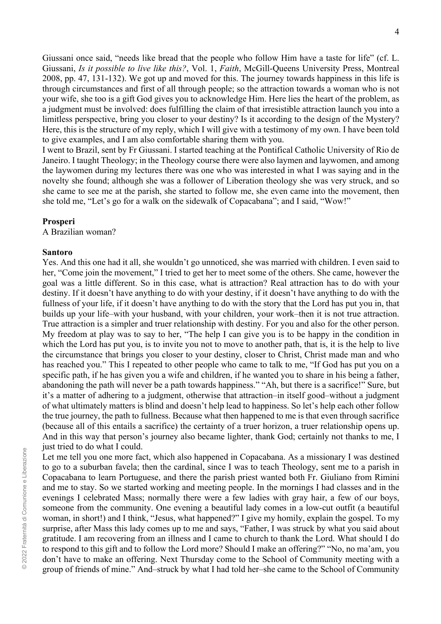Giussani once said, "needs like bread that the people who follow Him have a taste for life" (cf. L. Giussani, *Is it possible to live like this?*, Vol. 1, *Faith*, McGill-Queens University Press, Montreal 2008, pp. 47, 131-132). We got up and moved for this. The journey towards happiness in this life is through circumstances and first of all through people; so the attraction towards a woman who is not your wife, she too is a gift God gives you to acknowledge Him. Here lies the heart of the problem, as a judgment must be involved: does fulfilling the claim of that irresistible attraction launch you into a limitless perspective, bring you closer to your destiny? Is it according to the design of the Mystery? Here, this is the structure of my reply, which I will give with a testimony of my own. I have been told to give examples, and I am also comfortable sharing them with you.

I went to Brazil, sent by Fr Giussani. I started teaching at the Pontifical Catholic University of Rio de Janeiro. I taught Theology; in the Theology course there were also laymen and laywomen, and among the laywomen during my lectures there was one who was interested in what I was saying and in the novelty she found; although she was a follower of Liberation theology she was very struck, and so she came to see me at the parish, she started to follow me, she even came into the movement, then she told me, "Let's go for a walk on the sidewalk of Copacabana"; and I said, "Wow!"

# **Prosperi**

A Brazilian woman?

# **Santoro**

Yes. And this one had it all, she wouldn't go unnoticed, she was married with children. I even said to her, "Come join the movement," I tried to get her to meet some of the others. She came, however the goal was a little different. So in this case, what is attraction? Real attraction has to do with your destiny. If it doesn't have anything to do with your destiny, if it doesn't have anything to do with the fullness of your life, if it doesn't have anything to do with the story that the Lord has put you in, that builds up your life–with your husband, with your children, your work–then it is not true attraction. True attraction is a simpler and truer relationship with destiny. For you and also for the other person. My freedom at play was to say to her, "The help I can give you is to be happy in the condition in which the Lord has put you, is to invite you not to move to another path, that is, it is the help to live the circumstance that brings you closer to your destiny, closer to Christ, Christ made man and who has reached you." This I repeated to other people who came to talk to me, "If God has put you on a specific path, if he has given you a wife and children, if he wanted you to share in his being a father, abandoning the path will never be a path towards happiness." "Ah, but there is a sacrifice!" Sure, but it's a matter of adhering to a judgment, otherwise that attraction–in itself good–without a judgment of what ultimately matters is blind and doesn't help lead to happiness. So let's help each other follow the true journey, the path to fullness. Because what then happened to me is that even through sacrifice (because all of this entails a sacrifice) the certainty of a truer horizon, a truer relationship opens up. And in this way that person's journey also became lighter, thank God; certainly not thanks to me, I just tried to do what I could.

Let me tell you one more fact, which also happened in Copacabana. As a missionary I was destined to go to a suburban favela; then the cardinal, since I was to teach Theology, sent me to a parish in Copacabana to learn Portuguese, and there the parish priest wanted both Fr. Giuliano from Rimini and me to stay. So we started working and meeting people. In the mornings I had classes and in the evenings I celebrated Mass; normally there were a few ladies with gray hair, a few of our boys, someone from the community. One evening a beautiful lady comes in a low-cut outfit (a beautiful woman, in short!) and I think, "Jesus, what happened?" I give my homily, explain the gospel. To my surprise, after Mass this lady comes up to me and says, "Father, I was struck by what you said about gratitude. I am recovering from an illness and I came to church to thank the Lord. What should I do to respond to this gift and to follow the Lord more? Should I make an offering?" "No, no ma'am, you don't have to make an offering. Next Thursday come to the School of Community meeting with a group of friends of mine." And–struck by what I had told her–she came to the School of Community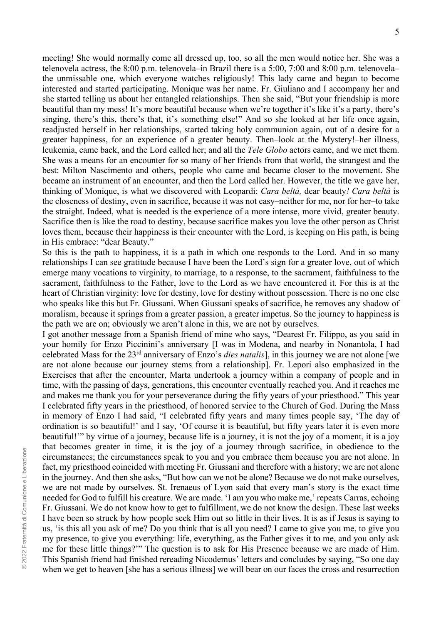meeting! She would normally come all dressed up, too, so all the men would notice her. She was a telenovela actress, the 8:00 p.m. telenovela–in Brazil there is a 5:00, 7:00 and 8:00 p.m. telenovela– the unmissable one, which everyone watches religiously! This lady came and began to become interested and started participating. Monique was her name. Fr. Giuliano and I accompany her and she started telling us about her entangled relationships. Then she said, "But your friendship is more beautiful than my mess! It's more beautiful because when we're together it's like it's a party, there's singing, there's this, there's that, it's something else!" And so she looked at her life once again, readjusted herself in her relationships, started taking holy communion again, out of a desire for a greater happiness, for an experience of a greater beauty. Then–look at the Mystery!–her illness, leukemia, came back, and the Lord called her; and all the *Tele Globo* actors came, and we met them. She was a means for an encounter for so many of her friends from that world, the strangest and the best: Milton Nascimento and others, people who came and became closer to the movement. She became an instrument of an encounter, and then the Lord called her. However, the title we gave her, thinking of Monique, is what we discovered with Leopardi: *Cara beltà,* dear beauty*! Cara beltà* is the closeness of destiny, even in sacrifice, because it was not easy–neither for me, nor for her–to take the straight. Indeed, what is needed is the experience of a more intense, more vivid, greater beauty. Sacrifice then is like the road to destiny, because sacrifice makes you love the other person as Christ loves them, because their happiness is their encounter with the Lord, is keeping on His path, is being in His embrace: "dear Beauty."

So this is the path to happiness, it is a path in which one responds to the Lord. And in so many relationships I can see gratitude because I have been the Lord's sign for a greater love, out of which emerge many vocations to virginity, to marriage, to a response, to the sacrament, faithfulness to the sacrament, faithfulness to the Father, love to the Lord as we have encountered it. For this is at the heart of Christian virginity: love for destiny, love for destiny without possession. There is no one else who speaks like this but Fr. Giussani. When Giussani speaks of sacrifice, he removes any shadow of moralism, because it springs from a greater passion, a greater impetus. So the journey to happiness is the path we are on; obviously we aren't alone in this, we are not by ourselves.

I got another message from a Spanish friend of mine who says, "Dearest Fr. Filippo, as you said in your homily for Enzo Piccinini's anniversary [I was in Modena, and nearby in Nonantola, I had celebrated Mass for the 23rd anniversary of Enzo's *dies natalis*], in this journey we are not alone [we are not alone because our journey stems from a relationship]. Fr. Lepori also emphasized in the Exercises that after the encounter, Marta undertook a journey within a company of people and in time, with the passing of days, generations, this encounter eventually reached you. And it reaches me and makes me thank you for your perseverance during the fifty years of your priesthood." This year I celebrated fifty years in the priesthood, of honored service to the Church of God. During the Mass in memory of Enzo I had said, "I celebrated fifty years and many times people say, 'The day of ordination is so beautiful!' and I say, 'Of course it is beautiful, but fifty years later it is even more beautiful!'" by virtue of a journey, because life is a journey, it is not the joy of a moment, it is a joy that becomes greater in time, it is the joy of a journey through sacrifice, in obedience to the circumstances; the circumstances speak to you and you embrace them because you are not alone. In fact, my priesthood coincided with meeting Fr. Giussani and therefore with a history; we are not alone in the journey. And then she asks, "But how can we not be alone? Because we do not make ourselves, we are not made by ourselves. St. Irenaeus of Lyon said that every man's story is the exact time needed for God to fulfill his creature. We are made. 'I am you who make me,' repeats Carras, echoing Fr. Giussani. We do not know how to get to fulfillment, we do not know the design. These last weeks I have been so struck by how people seek Him out so little in their lives. It is as if Jesus is saying to us, 'is this all you ask of me? Do you think that is all you need? I came to give you me, to give you my presence, to give you everything: life, everything, as the Father gives it to me, and you only ask me for these little things?'" The question is to ask for His Presence because we are made of Him. This Spanish friend had finished rereading Nicodemus' letters and concludes by saying, "So one day when we get to heaven [she has a serious illness] we will bear on our faces the cross and resurrection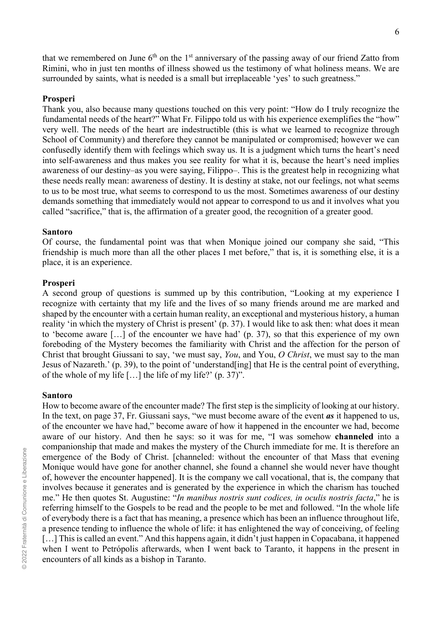that we remembered on June  $6<sup>th</sup>$  on the 1<sup>st</sup> anniversary of the passing away of our friend Zatto from Rimini, who in just ten months of illness showed us the testimony of what holiness means. We are surrounded by saints, what is needed is a small but irreplaceable 'yes' to such greatness."

#### **Prosperi**

Thank you, also because many questions touched on this very point: "How do I truly recognize the fundamental needs of the heart?" What Fr. Filippo told us with his experience exemplifies the "how" very well. The needs of the heart are indestructible (this is what we learned to recognize through School of Community) and therefore they cannot be manipulated or compromised; however we can confusedly identify them with feelings which sway us. It is a judgment which turns the heart's need into self-awareness and thus makes you see reality for what it is, because the heart's need implies awareness of our destiny–as you were saying, Filippo–. This is the greatest help in recognizing what these needs really mean: awareness of destiny. It is destiny at stake, not our feelings, not what seems to us to be most true, what seems to correspond to us the most. Sometimes awareness of our destiny demands something that immediately would not appear to correspond to us and it involves what you called "sacrifice," that is, the affirmation of a greater good, the recognition of a greater good.

#### **Santoro**

Of course, the fundamental point was that when Monique joined our company she said, "This friendship is much more than all the other places I met before," that is, it is something else, it is a place, it is an experience.

#### **Prosperi**

A second group of questions is summed up by this contribution, "Looking at my experience I recognize with certainty that my life and the lives of so many friends around me are marked and shaped by the encounter with a certain human reality, an exceptional and mysterious history, a human reality 'in which the mystery of Christ is present' (p. 37). I would like to ask then: what does it mean to 'become aware […] of the encounter we have had' (p. 37), so that this experience of my own foreboding of the Mystery becomes the familiarity with Christ and the affection for the person of Christ that brought Giussani to say, 'we must say, *You*, and You, *O Christ*, we must say to the man Jesus of Nazareth.' (p. 39), to the point of 'understand[ing] that He is the central point of everything, of the whole of my life […] the life of my life?' (p. 37)".

#### **Santoro**

How to become aware of the encounter made? The first step is the simplicity of looking at our history. In the text, on page 37, Fr. Giussani says, "we must become aware of the event *as* it happened to us, of the encounter we have had," become aware of how it happened in the encounter we had, become aware of our history. And then he says: so it was for me, "I was somehow **channeled** into a companionship that made and makes the mystery of the Church immediate for me. It is therefore an emergence of the Body of Christ. [channeled: without the encounter of that Mass that evening Monique would have gone for another channel, she found a channel she would never have thought of, however the encounter happened]. It is the company we call vocational, that is, the company that involves because it generates and is generated by the experience in which the charism has touched me." He then quotes St. Augustine: "*In manibus nostris sunt codices, in oculis nostris facta*," he is referring himself to the Gospels to be read and the people to be met and followed. "In the whole life of everybody there is a fact that has meaning, a presence which has been an influence throughout life, a presence tending to influence the whole of life: it has enlightened the way of conceiving, of feeling [...] This is called an event." And this happens again, it didn't just happen in Copacabana, it happened when I went to Petrópolis afterwards, when I went back to Taranto, it happens in the present in encounters of all kinds as a bishop in Taranto.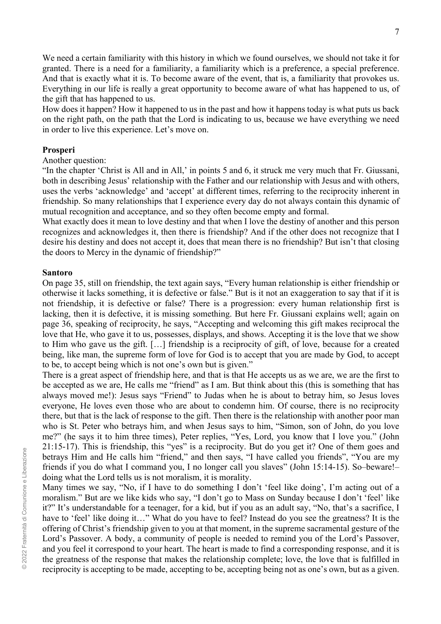We need a certain familiarity with this history in which we found ourselves, we should not take it for granted. There is a need for a familiarity, a familiarity which is a preference, a special preference. And that is exactly what it is. To become aware of the event, that is, a familiarity that provokes us. Everything in our life is really a great opportunity to become aware of what has happened to us, of the gift that has happened to us.

How does it happen? How it happened to us in the past and how it happens today is what puts us back on the right path, on the path that the Lord is indicating to us, because we have everything we need in order to live this experience. Let's move on.

## **Prosperi**

# Another question:

"In the chapter 'Christ is All and in All,' in points 5 and 6, it struck me very much that Fr. Giussani, both in describing Jesus' relationship with the Father and our relationship with Jesus and with others, uses the verbs 'acknowledge' and 'accept' at different times, referring to the reciprocity inherent in friendship. So many relationships that I experience every day do not always contain this dynamic of mutual recognition and acceptance, and so they often become empty and formal.

What exactly does it mean to love destiny and that when I love the destiny of another and this person recognizes and acknowledges it, then there is friendship? And if the other does not recognize that I desire his destiny and does not accept it, does that mean there is no friendship? But isn't that closing the doors to Mercy in the dynamic of friendship?"

## **Santoro**

On page 35, still on friendship, the text again says, "Every human relationship is either friendship or otherwise it lacks something, it is defective or false." But is it not an exaggeration to say that if it is not friendship, it is defective or false? There is a progression: every human relationship first is lacking, then it is defective, it is missing something. But here Fr. Giussani explains well; again on page 36, speaking of reciprocity, he says, "Accepting and welcoming this gift makes reciprocal the love that He, who gave it to us, possesses, displays, and shows. Accepting it is the love that we show to Him who gave us the gift. […] friendship is a reciprocity of gift, of love, because for a created being, like man, the supreme form of love for God is to accept that you are made by God, to accept to be, to accept being which is not one's own but is given."

There is a great aspect of friendship here, and that is that He accepts us as we are, we are the first to be accepted as we are, He calls me "friend" as I am. But think about this (this is something that has always moved me!): Jesus says "Friend" to Judas when he is about to betray him, so Jesus loves everyone, He loves even those who are about to condemn him. Of course, there is no reciprocity there, but that is the lack of response to the gift. Then there is the relationship with another poor man who is St. Peter who betrays him, and when Jesus says to him, "Simon, son of John, do you love me?" (he says it to him three times), Peter replies, "Yes, Lord, you know that I love you." (John 21:15-17). This is friendship, this "yes" is a reciprocity. But do you get it? One of them goes and betrays Him and He calls him "friend," and then says, "I have called you friends", "You are my friends if you do what I command you, I no longer call you slaves" (John 15:14-15). So–beware!– doing what the Lord tells us is not moralism, it is morality.

Many times we say, "No, if I have to do something I don't 'feel like doing', I'm acting out of a moralism." But are we like kids who say, "I don't go to Mass on Sunday because I don't 'feel' like it?" It's understandable for a teenager, for a kid, but if you as an adult say, "No, that's a sacrifice, I have to 'feel' like doing it..." What do you have to feel? Instead do you see the greatness? It is the offering of Christ's friendship given to you at that moment, in the supreme sacramental gesture of the Lord's Passover. A body, a community of people is needed to remind you of the Lord's Passover, and you feel it correspond to your heart. The heart is made to find a corresponding response, and it is the greatness of the response that makes the relationship complete; love, the love that is fulfilled in reciprocity is accepting to be made, accepting to be, accepting being not as one's own, but as a given.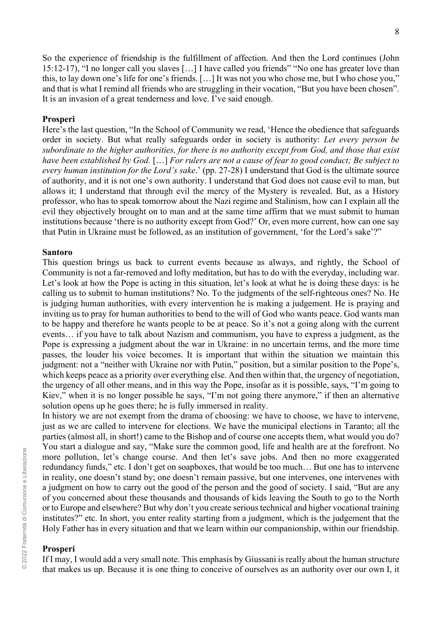So the experience of friendship is the fulfillment of affection. And then the Lord continues (John 15:12-17), "I no longer call you slaves […] I have called you friends" "No one has greater love than this, to lay down one's life for one's friends. […] It was not you who chose me, but I who chose you," and that is what I remind all friends who are struggling in their vocation, "But you have been chosen". It is an invasion of a great tenderness and love. I've said enough.

### **Prosperi**

Here's the last question, "In the School of Community we read, 'Hence the obedience that safeguards order in society. But what really safeguards order in society is authority: *Let every person be subordinate to the higher authorities, for there is no authority except from God, and those that exist have been established by God.* […] *For rulers are not a cause of fear to good conduct; Be subject to every human institution for the Lord's sake*.' (pp. 27-28) I understand that God is the ultimate source of authority, and it is not one's own authority. I understand that God does not cause evil to man, but allows it; I understand that through evil the mercy of the Mystery is revealed. But, as a History professor, who has to speak tomorrow about the Nazi regime and Stalinism, how can I explain all the evil they objectively brought on to man and at the same time affirm that we must submit to human institutions because 'there is no authority except from God?' Or, even more current, how can one say that Putin in Ukraine must be followed, as an institution of government, 'for the Lord's sake'?"

#### **Santoro**

This question brings us back to current events because as always, and rightly, the School of Community is not a far-removed and lofty meditation, but has to do with the everyday, including war. Let's look at how the Pope is acting in this situation, let's look at what he is doing these days: is he calling us to submit to human institutions? No. To the judgments of the self-righteous ones? No. He is judging human authorities, with every intervention he is making a judgement. He is praying and inviting us to pray for human authorities to bend to the will of God who wants peace. God wants man to be happy and therefore he wants people to be at peace. So it's not a going along with the current events… if you have to talk about Nazism and communism, you have to express a judgment, as the Pope is expressing a judgment about the war in Ukraine: in no uncertain terms, and the more time passes, the louder his voice becomes. It is important that within the situation we maintain this judgment: not a "neither with Ukraine nor with Putin," position, but a similar position to the Pope's, which keeps peace as a priority over everything else. And then within that, the urgency of negotiation, the urgency of all other means, and in this way the Pope, insofar as it is possible, says, "I'm going to Kiev," when it is no longer possible he says, "I'm not going there anymore," if then an alternative solution opens up he goes there; he is fully immersed in reality.

In history we are not exempt from the drama of choosing: we have to choose, we have to intervene, just as we are called to intervene for elections. We have the municipal elections in Taranto; all the parties (almost all, in short!) came to the Bishop and of course one accepts them, what would you do? You start a dialogue and say, "Make sure the common good, life and health are at the forefront. No more pollution, let's change course. And then let's save jobs. And then no more exaggerated redundancy funds," etc. I don't get on soapboxes, that would be too much… But one has to intervene in reality, one doesn't stand by; one doesn't remain passive, but one intervenes, one intervenes with a judgment on how to carry out the good of the person and the good of society. I said, "But are any of you concerned about these thousands and thousands of kids leaving the South to go to the North or to Europe and elsewhere? But why don't you create serious technical and higher vocational training institutes?" etc. In short, you enter reality starting from a judgment, which is the judgement that the Holy Father has in every situation and that we learn within our companionship, within our friendship.

### **Prosperi**

If I may, I would add a very small note. This emphasis by Giussani is really about the human structure that makes us up. Because it is one thing to conceive of ourselves as an authority over our own I, it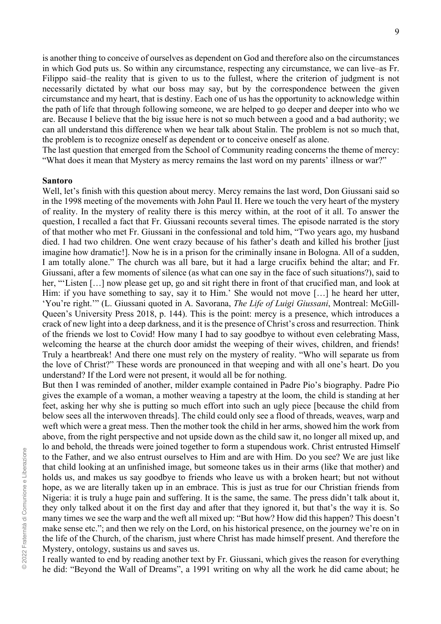is another thing to conceive of ourselves as dependent on God and therefore also on the circumstances in which God puts us. So within any circumstance, respecting any circumstance, we can live–as Fr. Filippo said–the reality that is given to us to the fullest, where the criterion of judgment is not necessarily dictated by what our boss may say, but by the correspondence between the given circumstance and my heart, that is destiny. Each one of us has the opportunity to acknowledge within the path of life that through following someone, we are helped to go deeper and deeper into who we are. Because I believe that the big issue here is not so much between a good and a bad authority; we can all understand this difference when we hear talk about Stalin. The problem is not so much that, the problem is to recognize oneself as dependent or to conceive oneself as alone.

The last question that emerged from the School of Community reading concerns the theme of mercy: "What does it mean that Mystery as mercy remains the last word on my parents' illness or war?"

### **Santoro**

Well, let's finish with this question about mercy. Mercy remains the last word, Don Giussani said so in the 1998 meeting of the movements with John Paul II. Here we touch the very heart of the mystery of reality. In the mystery of reality there is this mercy within, at the root of it all. To answer the question, I recalled a fact that Fr. Giussani recounts several times. The episode narrated is the story of that mother who met Fr. Giussani in the confessional and told him, "Two years ago, my husband died. I had two children. One went crazy because of his father's death and killed his brother [just imagine how dramatic!]. Now he is in a prison for the criminally insane in Bologna. All of a sudden, I am totally alone." The church was all bare, but it had a large crucifix behind the altar; and Fr. Giussani, after a few moments of silence (as what can one say in the face of such situations?), said to her, "'Listen [...] now please get up, go and sit right there in front of that crucified man, and look at Him: if you have something to say, say it to Him.' She would not move [...] he heard her utter, 'You're right.'" (L. Giussani quoted in A. Savorana, *The Life of Luigi Giussani*, Montreal: McGill-Queen's University Press 2018, p. 144). This is the point: mercy is a presence, which introduces a crack of new light into a deep darkness, and it is the presence of Christ's cross and resurrection. Think of the friends we lost to Covid! How many I had to say goodbye to without even celebrating Mass, welcoming the hearse at the church door amidst the weeping of their wives, children, and friends! Truly a heartbreak! And there one must rely on the mystery of reality. "Who will separate us from the love of Christ?" These words are pronounced in that weeping and with all one's heart. Do you understand? If the Lord were not present, it would all be for nothing.

But then I was reminded of another, milder example contained in Padre Pio's biography. Padre Pio gives the example of a woman, a mother weaving a tapestry at the loom, the child is standing at her feet, asking her why she is putting so much effort into such an ugly piece [because the child from below sees all the interwoven threads]. The child could only see a flood of threads, weaves, warp and weft which were a great mess. Then the mother took the child in her arms, showed him the work from above, from the right perspective and not upside down as the child saw it, no longer all mixed up, and lo and behold, the threads were joined together to form a stupendous work. Christ entrusted Himself to the Father, and we also entrust ourselves to Him and are with Him. Do you see? We are just like that child looking at an unfinished image, but someone takes us in their arms (like that mother) and holds us, and makes us say goodbye to friends who leave us with a broken heart; but not without hope, as we are literally taken up in an embrace. This is just as true for our Christian friends from Nigeria: it is truly a huge pain and suffering. It is the same, the same. The press didn't talk about it, they only talked about it on the first day and after that they ignored it, but that's the way it is. So many times we see the warp and the weft all mixed up: "But how? How did this happen? This doesn't make sense etc."; and then we rely on the Lord, on his historical presence, on the journey we're on in the life of the Church, of the charism, just where Christ has made himself present. And therefore the Mystery, ontology, sustains us and saves us.

I really wanted to end by reading another text by Fr. Giussani, which gives the reason for everything he did: "Beyond the Wall of Dreams", a 1991 writing on why all the work he did came about; he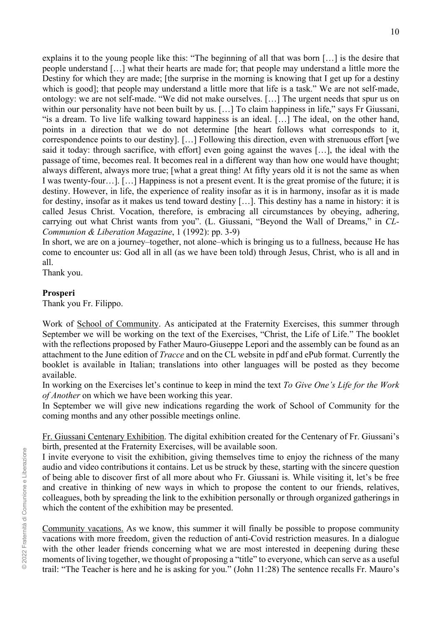explains it to the young people like this: "The beginning of all that was born […] is the desire that people understand […] what their hearts are made for; that people may understand a little more the Destiny for which they are made; [the surprise in the morning is knowing that I get up for a destiny which is good]; that people may understand a little more that life is a task." We are not self-made, ontology: we are not self-made. "We did not make ourselves. […] The urgent needs that spur us on within our personality have not been built by us. [...] To claim happiness in life," says Fr Giussani, "is a dream. To live life walking toward happiness is an ideal. […] The ideal, on the other hand, points in a direction that we do not determine [the heart follows what corresponds to it, correspondence points to our destiny]. […] Following this direction, even with strenuous effort [we said it today: through sacrifice, with effort] even going against the waves […], the ideal with the passage of time, becomes real. It becomes real in a different way than how one would have thought; always different, always more true; [what a great thing! At fifty years old it is not the same as when I was twenty-four…]. […] Happiness is not a present event. It is the great promise of the future; it is destiny. However, in life, the experience of reality insofar as it is in harmony, insofar as it is made for destiny, insofar as it makes us tend toward destiny […]. This destiny has a name in history: it is called Jesus Christ. Vocation, therefore, is embracing all circumstances by obeying, adhering, carrying out what Christ wants from you". (L. Giussani, "Beyond the Wall of Dreams," in *CL-Communion & Liberation Magazine*, 1 (1992): pp. 3-9)

In short, we are on a journey–together, not alone–which is bringing us to a fullness, because He has come to encounter us: God all in all (as we have been told) through Jesus, Christ, who is all and in all.

Thank you.

## **Prosperi**

Thank you Fr. Filippo.

Work of School of Community. As anticipated at the Fraternity Exercises, this summer through September we will be working on the text of the Exercises, "Christ, the Life of Life." The booklet with the reflections proposed by Father Mauro-Giuseppe Lepori and the assembly can be found as an attachment to the June edition of *Tracce* and on the CL website in pdf and ePub format. Currently the booklet is available in Italian; translations into other languages will be posted as they become available.

In working on the Exercises let's continue to keep in mind the text *To Give One's Life for the Work of Another* on which we have been working this year.

In September we will give new indications regarding the work of School of Community for the coming months and any other possible meetings online.

Fr. Giussani Centenary Exhibition. The digital exhibition created for the Centenary of Fr. Giussani's birth, presented at the Fraternity Exercises, will be available soon.

I invite everyone to visit the exhibition, giving themselves time to enjoy the richness of the many audio and video contributions it contains. Let us be struck by these, starting with the sincere question of being able to discover first of all more about who Fr. Giussani is. While visiting it, let's be free and creative in thinking of new ways in which to propose the content to our friends, relatives, colleagues, both by spreading the link to the exhibition personally or through organized gatherings in which the content of the exhibition may be presented.

Community vacations. As we know, this summer it will finally be possible to propose community vacations with more freedom, given the reduction of anti-Covid restriction measures. In a dialogue with the other leader friends concerning what we are most interested in deepening during these moments of living together, we thought of proposing a "title" to everyone, which can serve as a useful trail: "The Teacher is here and he is asking for you." (John 11:28) The sentence recalls Fr. Mauro's